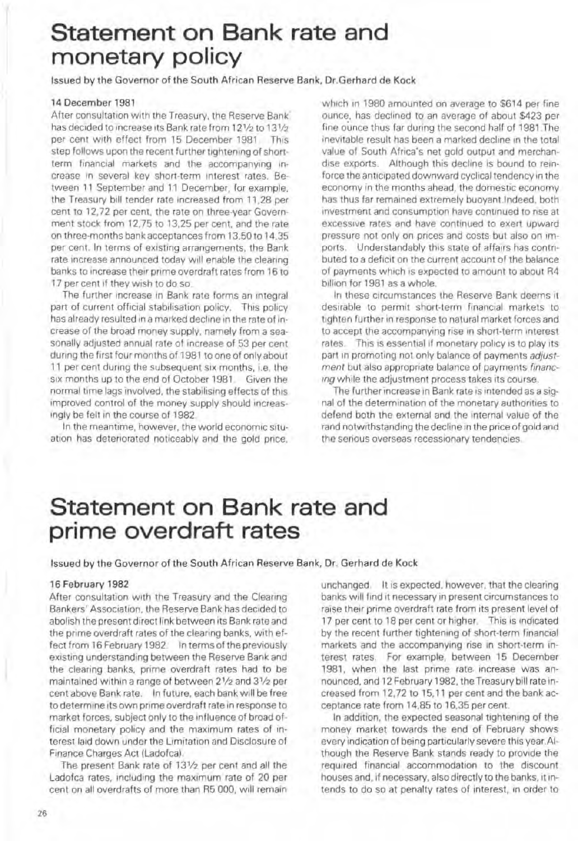# Statement on Bank rate and monetary policy

Issued by the Governor of the South African Reserve Bank. Dr.Gerhard de Kock

### 14 Oecember 1981

After consultation with the Treasury, the Reserve Bank has decided to increase its Bank rate from 121/2 to 131/2 per cent with effect from 15 December 1981 This step follows upon the recent further tightening of shortterm financial markets and the accompanying increase In several key short-term Interest rates. Between 11 September and 11 December, for example, the Treasury bill tender rate increased from 11,28 per cent to 12.72 per cent, the rate on three-year Government stock from 12.75 to 13,25 per cent, and the rate on three-months bank acceptances from 13,50 to 14,35 per cent. In terms of existing arrangements, the Bank rate increase announced today will enable the clearing banks to increase their prime overdraft rates from 16 to 17 per cent if they wish to do so.

The further increase in Bank rate forms an integral part of current official stabilisation policy. This policy has already resulted in a marked decline in the rate of increase of the broad money supply. namely from a sea· sonally adjusted annual rate of increase of 53 per cent dUring the first four months of 1981 to one of only about 11 per cent dunng the subsequent SIX months, i.e. the six months up to the end of October 1981. Given the normal time lags involved, the stabilising effects of this improved control of the money supply should increas-Ingly be felt in the course of 1982

In the meantime, however, the world economic situation has deteriorated noticeably and the gold price.

which in 1980 amounted on average to \$614 per fine ounce, has declined to an average of about \$423 per fine ounce thus far during the second half of 1981. The mevltable result has been a marked decline m the total value of South Africa's net gold output and merchandise exports. Although this decline is bound to reinforce the anticipated downward cyclical tendency in the economy in the months ahead, the domestic economy has thus far remained extremely buoyant Indeed. both Investment and consumption nave continued to rise at excessive rates and have continued to exert upward pressure not only on prices and costs but also on imports. Understandably this state of affairs has contributed to a deficit on the current account of the balance of payments which is expected to amount to about R4 billion for 1981 as a whole.

In these circumstances the Reserve Bank deems it deSirable to permit short-terrn financial markets to tighten further in response to natural market forces and to accept the accompanying rise in short-term interest rates. This is essential if monetary policy is to play its part in promoting not only balance of payments adjustment but also appropriate balance of payments financ*ing* while the adjustment process takes its course.

The further increase in Bank rate is intended as a signal of the determination of the monetary authorities to defend both the external and the internal value of the rand notwithstanding the decline in the price of gold and the serious overseas recessionary tendencies.

## Statement on Bank rate and prime overdraft rates

Issued by the Governor of the South African Reserve Bank, Dr, Gerhard de Kock

#### 16 February 1982

After consultation with the Treasury and the Clearing Bankers' Association, the Reserve Bank has decided to abolish the present direct link between its Bank rate and the prime overdraft rates of the clearing banks, with effect from 16 February 1982. In terms of the previously existing understanding between the Reserve Bank and the clearing banks, prime overdraft rates had to be maintained within a range of between 21/2 and 31/2 per cent above Bank rate. In future, each bank Will be free to determine its own prime overdraft rate in response to market forces, subject only to the influence of broad official monetary policy and the maximum rates of interest laid down under the Limitation and Disclosure of Finance Charges Act (Ladofca).

The present Bank rate of 131/2 per cent and all the Ladofca rates, including the maximum rate of 20 per cent on all overdrafts of more than R5 000, will remain

unchanged It is expected, however, that the clearing banks will find it necessary in present circumstances to raise their prime overdraft rate from its present level of 17 per cent to 18 per cent or higher. This is indicated by the recent further tightening of short-term financial markets and the accompanying rise in short-term interest rates. For example, between 15 December 1981. when the last prime rate increase was announced, and 12 February 1982, the Treasurybilt rate in· creased from 12,72 to 15,11 per cent and the bank acceptance rate from 14,85 to 16.35 per cent.

In addition, the expected seasonal tightening of the money market towards the end of February shows every indication of being particularly severe this year .AIthough the Reserve Bank stands ready to provide the required financial accommodation to the discount houses and, if necessary, also directly to the banks, it intends to do so at penalty rates of interest, in order to